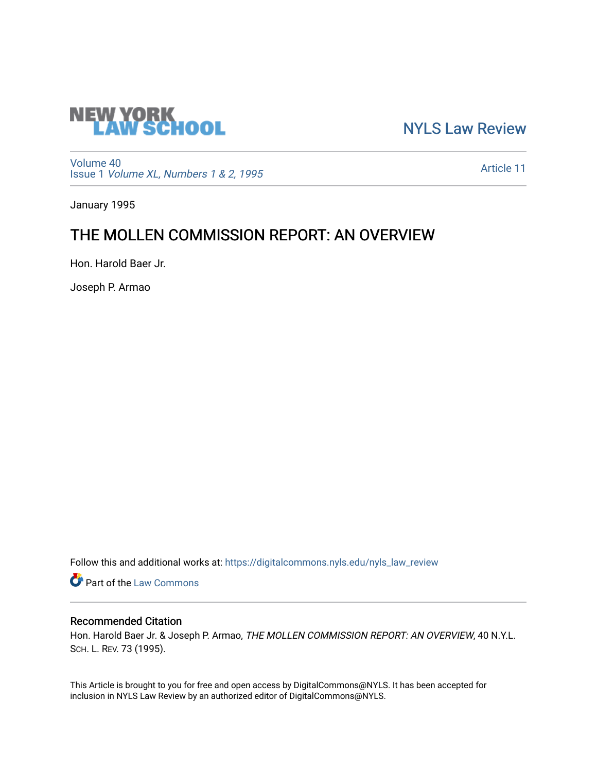

[NYLS Law Review](https://digitalcommons.nyls.edu/nyls_law_review) 

[Volume 40](https://digitalcommons.nyls.edu/nyls_law_review/vol40) Issue 1 [Volume XL, Numbers 1 & 2, 1995](https://digitalcommons.nyls.edu/nyls_law_review/vol40/iss1)

[Article 11](https://digitalcommons.nyls.edu/nyls_law_review/vol40/iss1/11) 

January 1995

# THE MOLLEN COMMISSION REPORT: AN OVERVIEW

Hon. Harold Baer Jr.

Joseph P. Armao

Follow this and additional works at: [https://digitalcommons.nyls.edu/nyls\\_law\\_review](https://digitalcommons.nyls.edu/nyls_law_review?utm_source=digitalcommons.nyls.edu%2Fnyls_law_review%2Fvol40%2Fiss1%2F11&utm_medium=PDF&utm_campaign=PDFCoverPages) 

**Part of the [Law Commons](https://network.bepress.com/hgg/discipline/578?utm_source=digitalcommons.nyls.edu%2Fnyls_law_review%2Fvol40%2Fiss1%2F11&utm_medium=PDF&utm_campaign=PDFCoverPages)** 

## Recommended Citation

Hon. Harold Baer Jr. & Joseph P. Armao, THE MOLLEN COMMISSION REPORT: AN OVERVIEW, 40 N.Y.L. SCH. L. REV. 73 (1995).

This Article is brought to you for free and open access by DigitalCommons@NYLS. It has been accepted for inclusion in NYLS Law Review by an authorized editor of DigitalCommons@NYLS.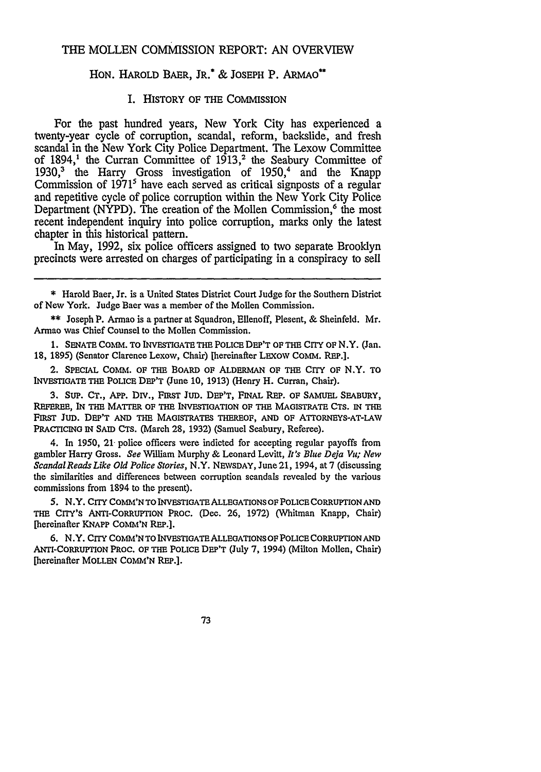#### THE MOLLEN COMMISSION REPORT: AN OVERVIEW

## HON. HAROLD BAER, JR.\* & JOSEPH P. ARMAO\*\*

## I. HISTORY OF **THE** COMMISSION

For the past hundred years, New York City has experienced a twenty-year cycle of corruption, scandal, reform, backslide, and fresh scandal in the New York City Police Department. The Lexow Committee of 1894,<sup>1</sup> the Curran Committee of  $1913$ ,<sup>2</sup> the Seabury Committee of 1930,<sup>3</sup> the Harry Gross investigation of 1950,<sup>4</sup> and the Knapp Commission of 1971<sup>5</sup> have each served as critical signposts of a regular and repetitive cycle of police corruption within the New York City Police Department (NYPD). The creation of the Mollen Commission,<sup>6</sup> the most recent independent inquiry into police corruption, marks only the latest chapter in this historical pattern.

In May, 1992, six police officers assigned to two separate Brooklyn precincts were arrested on charges of participating in a conspiracy to sell

\* Harold Baer, Jr. is a United States District Court Judge for the Southern District of New York. Judge Baer was a member of the Mollen Commission.

\*\* Joseph P. Armao is a partner at Squadron, Ellenoff, Plesent, & Sheinfeld. Mr. Armao was Chief Counsel to the Mollen Commission.

**1. SENATE COMM.** TO INVESTIGATE THE POLICE DEP'T OF THE CITY OF N.Y. (Jan. 18, 1895) (Senator Clarence Lexow, Chair) [hereinafter LEXOW COMM. REP.].

2. SPECIAL COMM. OF **THE** BOARD OF ALDERMAN OF THE CITY OF N.Y. TO INVESTIGATE THE POLICE DEP'T (June **10,** 1913) (Henry H. Curran, Chair).

**3.** StiP. CT., APP. DIV., **FIRST JUD.** DEP'T, FINAL REP. OF SAMUEL SEABURY, REFEREE, IN THE MATTER OF THE INVESTIGATION **OF** THE MAGISTRATE CTS. IN THE FIRST JuD. DEP'T **AND** THE MAGISTRATES THEREOF, **AND** OF **ATTORNEYS-AT-LAW** PRACTICING IN SAID CTS. (March **28,** 1932) (Samuel Seabury, Referee).

4. In 1950, 21 police officers were indicted for accepting regular payoffs from gambler Harry Gross. *See* William Murphy **&** Leonard Levitt, *It's Blue Deja Vit; New ScandalReads Like Old Police Stories,* N.Y. NEVSDAY, June21, 1994, at 7 (discussing the similarities and differences between corruption scandals revealed by the various commissions from 1894 to the present).

5. N.Y. **CITY** COMM'N TO **INVESTIGATE** ALLEGATIONS OF **POLICE** CORRUPTION **AND** THE CITY'S ANTI-CORRUPTION PROC. (Dec. **26, 1972)** (Whitman Knapp, Chair) [hereinafter KNAPP **COMM'N** REP.].

**6.** N.Y. CITY COMM'NTO INVESTIGATE ALLEOATIONS OF POLICE CORRUPTION AND ANTI-CORRUPTION PROC. OF THE POLICE DEP'T (July 7, 1994) (Milton Mollen, Chair) [hereinafter MOLLEN COMM'N REP.].

73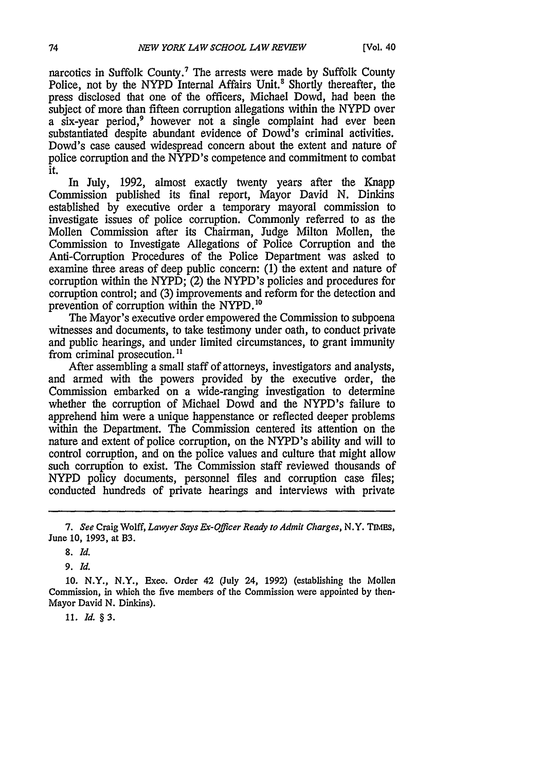narcotics in Suffolk County.<sup>7</sup> The arrests were made by Suffolk County Police, not by the NYPD Internal Affairs Unit.<sup>8</sup> Shortly thereafter, the press disclosed that one of the officers, Michael Dowd, had been the subject of more than fifteen corruption allegations within the NYPD over a six-year period,<sup>9</sup> however not a single complaint had ever been substantiated despite abundant evidence of Dowd's criminal activities. Dowd's case caused widespread concern about the extent and nature of police corruption and the NYPD's competence and commitment to combat it.

In July, 1992, almost exactly twenty years after the Knapp Commission published its final report, Mayor David N. Dinkins established by executive order a temporary mayoral commission to investigate issues of police corruption. Commonly referred to as the Mollen Commission after its Chairman, Judge Milton Mollen, the Commission to Investigate Allegations of Police Corruption and the Anti-Corruption Procedures of the Police Department was asked to examine three areas of deep public concern: (1) the extent and nature of corruption within the NYPD; (2) the NYPD's policies and procedures for corruption control; and (3) improvements and reform for the detection and prevention of corruption within the NYPD.<sup>10</sup>

The Mayor's executive order empowered the Commission to subpoena witnesses and documents, to take testimony under oath, to conduct private and public hearings, and under limited circumstances, to grant immunity from criminal prosecution.<sup>11</sup>

After assembling a small staff of attorneys, investigators and analysts, and armed with the powers provided by the executive order, the Commission embarked on a wide-ranging investigation to determine whether the corruption of Michael Dowd and the NYPD's failure to apprehend him were a unique happenstance or reflected deeper problems within the Department. The Commission centered its attention on the nature and extent of police corruption, on the NYPD's ability and will to control corruption, and on the police values and culture that might allow such corruption to exist. The Commission staff reviewed thousands of NYPD policy documents, personnel files and corruption case files; conducted hundreds of private hearings and interviews with private

*9. Id.*

**10. N.Y., N.Y., Exec. Order 42 (July 24, 1992)** (establishing **the Mollen Commission, in which the five members of the Commission were appointed by then-Mayor David N. Dinkins).**

*11. ld. §3.*

*<sup>7.</sup> See* Craig Wolff, *Lawyer Says Lx-Officer Ready to Admit* Charges, N.Y. *TIMES,* June **10, 1993,** at B3.

*<sup>8.</sup> Id.*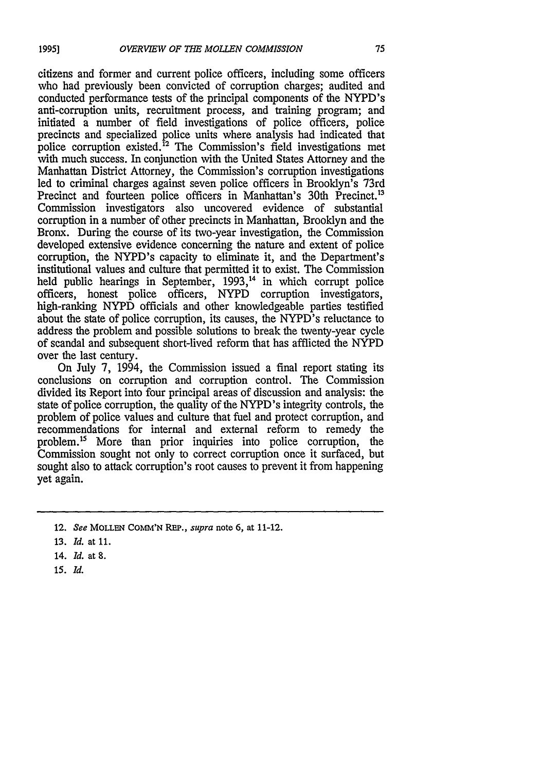citizens and former and current police officers, including some officers who had previously been convicted of corruption charges; audited and conducted performance tests of the principal components of the NYPD's anti-corruption units, recruitment process, and training program; and initiated a number of field investigations of police officers, police precincts and specialized police units where analysis had indicated that police corruption existed.<sup>12</sup> The Commission's field investigations met with much success. In conjunction with the United States Attorney and the Manhattan District Attorney, the Commission's corruption investigations led to criminal charges against seven police officers in Brooklyn's 73rd Precinct and fourteen police officers in Manhattan's 30th Precinct.<sup>13</sup> Commission investigators also uncovered evidence of substantial corruption in a number of other precincts in Manhattan, Brooklyn and the Bronx. During the course of its two-year investigation, the Commission developed extensive evidence concerning the nature and extent of police corruption, the NYPD's capacity to eliminate it, and the Department's institutional values and culture that permitted it to exist. The Commission held public hearings in September, 1993,<sup>14</sup> in which corrupt police officers, honest police officers, NYPD corruption investigators, high-ranking NYPD officials and other knowledgeable parties testified about the state of police corruption, its causes, the NYPD's reluctance to address the problem and possible solutions to break the twenty-year cycle of scandal and subsequent short-lived reform that has afflicted the NYPD over the last century.

On July 7, 1994, the Commission issued a final report stating its conclusions on corruption and corruption control. The Commission divided its Report into four principal areas of discussion and analysis: the state of police corruption, the quality of the NYPD's integrity controls, the problem of police values and culture that fuel and protect corruption, and recommendations for internal and external reform to remedy the problem.15 More than prior inquiries into police corruption, the Commission sought not only to correct corruption once it surfaced, but sought also to attack corruption's root causes to prevent it from happening yet again.

- 14. *Id.* at *S.*
- **15. Id.**

**<sup>12.</sup>** *See* **MOLLEN COMM'N REP.,** *supra* note **6,** at 11-12.

**<sup>13.</sup>** *Id.* at **11.**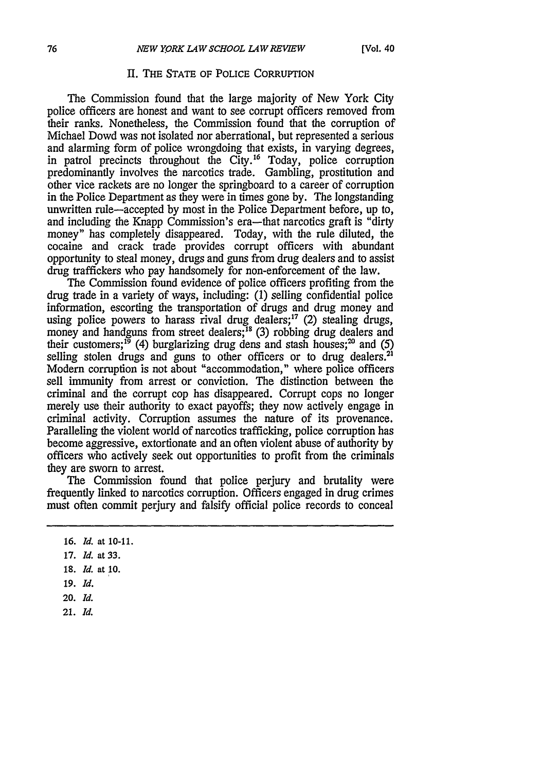#### H. THE **STATE** OF POLICE CORRUPTION

The Commission found that the large majority of New York City police officers are honest and want to see corrupt officers removed from their ranks. Nonetheless, the Commission found that the corruption of Michael Dowd was not isolated nor aberrational, but represented a serious and alarming form of police wrongdoing that exists, in varying degrees, in patrol precincts throughout the City.<sup>16</sup> Today, police corruption predominantly involves the narcotics trade. Gambling, prostitution and other vice rackets are no longer the springboard to a career of corruption in the Police Department as they were in times gone by. The longstanding unwritten rule-accepted by most in the Police Department before, up to, and including the Knapp Commission's era—that narcotics graft is "dirty" money" has completely disappeared. Today, with the rule diluted, the cocaine and crack trade provides corrupt officers with abundant opportunity to steal money, drugs and guns from drug dealers and to assist drug traffickers who pay handsomely for non-enforcement of the law.

The Commission found evidence of police officers profiting from the drug trade in a variety of ways, including: (1) selling confidential police information, escorting the transportation of drugs and drug money and using police powers to harass rival drug dealers; $17$  (2) stealing drugs, money and handguns from street dealers;<sup>18</sup> (3) robbing drug dealers and their customers;<sup>19</sup> (4) burglarizing drug dens and stash houses;<sup>20</sup> and (5) selling stolen drugs and guns to other officers or to drug dealers.<sup>21</sup> Modem corruption is not about "accommodation," where police officers sell immunity from arrest or conviction. The distinction between the criminal and the corrupt cop has disappeared. Corrupt cops no longer merely use their authority to exact payoffs; they now actively engage in criminal activity. Corruption assumes the nature of its provenance. Paralleling the violent world of narcotics trafficking, police corruption has become aggressive, extortionate and an often violent abuse of authority by officers who actively seek out opportunities to profit from the criminals they are sworn to arrest.

The Commission found that police perjury and brutality were frequently linked to narcotics corruption. Officers engaged in drug crimes must often commit perjury and falsify official police records to conceal

- **17.** *Id.* at **33.**
- **18.** *Id.* at **10.**
- **19.** *Id.*
- 20. *Id.*
- **21.** *Id.*

**<sup>16.</sup>** *Id.* at **10-11.**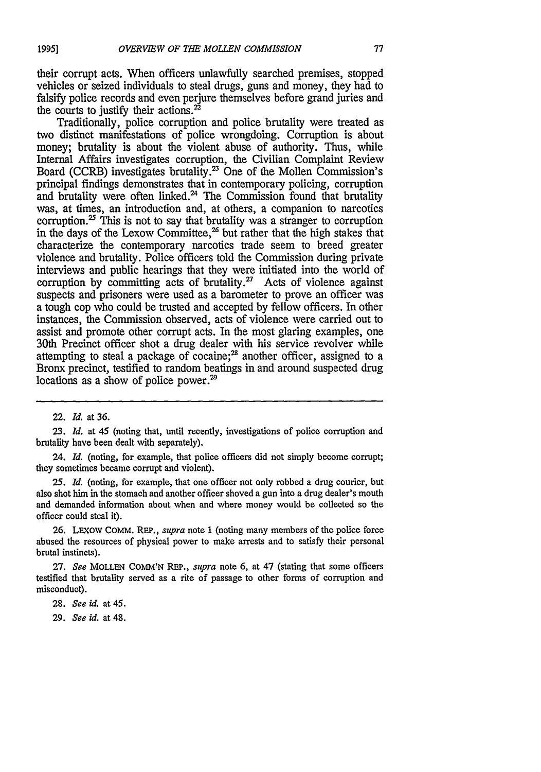their corrupt acts. When officers unlawfully searched premises, stopped vehicles or seized individuals to steal drugs, guns and money, they had to falsify police records and even perjure themselves before grand juries and the courts to justify their actions. $^{22}$ 

Traditionally, police corruption and police brutality were treated as two distinct manifestations of police wrongdoing. Corruption is about money; brutality is about the violent abuse of authority. Thus, while Internal Affairs investigates corruption, the Civilian Complaint Review Board (CCRB) investigates brutality.<sup>23</sup> One of the Mollen Commission's principal findings demonstrates that in contemporary policing, corruption and brutality were often linked.<sup>24</sup> The Commission found that brutality was, at times, an introduction and, at others, a companion to narcotics corruption. $25$  This is not to say that brutality was a stranger to corruption in the days of the Lexow Committee, $^{26}$  but rather that the high stakes that characterize the contemporary narcotics trade seem to breed greater violence and brutality. Police officers told the Commission during private interviews and public hearings that they were initiated into the world of corruption by committing acts of brutality. $^{27}$  Acts of violence against suspects and prisoners were used as a barometer to prove an officer was a tough cop who could be trusted and accepted by fellow officers. In other instances, the Commission observed, acts of violence were carried out to assist and promote other corrupt acts. In the most glaring examples, one 30th Precinct officer shot a drug dealer with his service revolver while attempting to steal a package of cocaine; $^{28}$  another officer, assigned to a Bronx precinct, testified to random beatings in and around suspected drug locations as a show of police power.<sup>29</sup>

22. *Id.* at 36.

23. *Id.* at 45 (noting that, until recently, investigations of police corruption and brutality have been dealt with separately).

24. *Id.* (noting, for example, that police officers did not simply become corrupt; they sometimes became corrupt and violent).

25. *Id.* (noting, for example, that one officer not only robbed a drug courier, but also shot him in the stomach and another officer shoved a gun into a drug dealer's mouth and demanded information about when and where money would be collected so the officer could steal it).

26. LEXoW COMM. REP., *supra* note 1 (noting many members of the police force abused the resources of physical power to make arrests and to satisfy their personal brutal instincts).

27. *See* MOLLEN **COMM'N** REP., *supra* note 6, at 47 (stating that some officers testified that brutality served as a rite of passage to other forms of corruption and misconduct).

28. *See id.* at 45.

29. *See id.* at 48.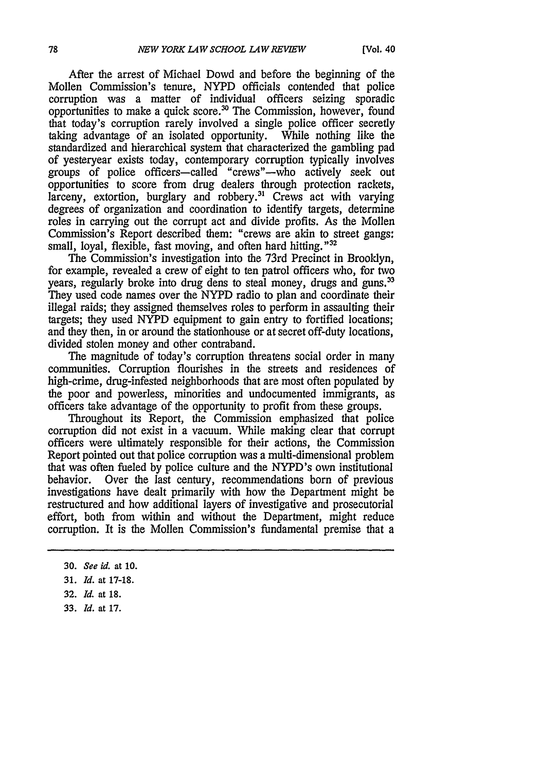After the arrest of Michael Dowd and before the beginning of the Mollen Commission's tenure, NYPD officials contended that police corruption was a matter of individual officers seizing sporadic opportunities to make a quick score.<sup>30</sup> The Commission, however, found that today's corruption rarely involved a single police officer secretly taking advantage of an isolated opportunity. While nothing like the taking advantage of an isolated opportunity. standardized and hierarchical system that characterized the gambling pad of yesteryear exists today, contemporary corruption typically involves groups of police officers-called "crews"-who actively seek out opportunities to score from drug dealers through protection rackets,  $\frac{1}{2}$  larceny, extortion, burglary and robbery.<sup>31</sup> Crews act with varying degrees of organization and coordination to identify targets, determine roles in carrying out the corrupt act and divide profits. *As* the Mollen Commission's Report described them: "crews are akin to street gangs: small, loyal, flexible, fast moving, and often hard hitting.<sup>"32</sup>

The Commission's investigation into the 73rd Precinct in Brooklyn, for example, revealed a crew of eight to ten patrol officers who, for two years, regularly broke into drug dens to steal money, drugs and guns.<sup>33</sup> They used code names over the NYPD radio to plan and coordinate their illegal raids; they assigned themselves roles to perform in assaulting their targets; they used NYPD equipment to gain entry to fortified locations; and they then, in or around the stationhouse or at secret off-duty locations, divided stolen money and other contraband.

The magnitude of today's corruption threatens social order in many communities. Corruption flourishes in the streets and residences of high-crime, drug-infested neighborhoods that are most often populated by the poor and powerless, minorities and undocumented immigrants, as officers take advantage of the opportunity to profit from these groups.

Throughout its Report, the Commission emphasized that police corruption did not exist in a vacuum. While making clear that corrupt officers were ultimately responsible for their actions, the Commission Report pointed out that police corruption was a multi-dimensional problem that was often fueled by police culture and the NYPD's own institutional behavior. Over the last century, recommendations born of previous investigations have dealt primarily with how the Department might be restructured and how additional layers of investigative and prosecutorial effort, both from within and without the Department, might reduce corruption. It is the Mollen Commission's fundamental premise that a

**33.** *Id.* at **17.**

**<sup>30.</sup>** *See id.* at **10.**

**<sup>31.</sup>** *Id.* **at 17-18.**

**<sup>32.</sup>** *Id.* **at 18.**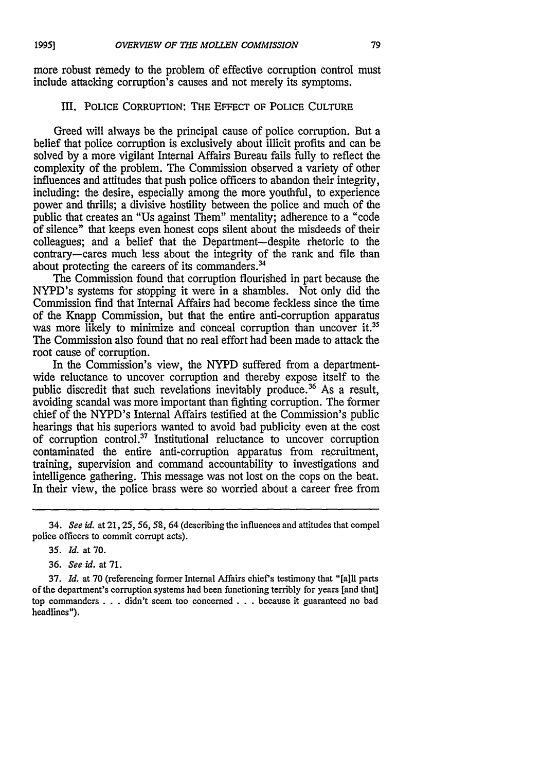more robust remedy to the problem of effective corruption control must include attacking corruption's causes and not merely its symptoms.

#### III. POLICE CORRUPTION: THE **EFFECT** OF POLICE **CULTURE**

Greed will always be the principal cause of police corruption. But a belief that police corruption is exclusively about illicit profits and can be solved **by** a more vigilant Internal Affairs Bureau fails **fully** to reflect the complexity of the problem. The Commission observed a variety of other influences and attitudes that push police officers to abandon their integrity, including: the desire, especially among the more youthful, to experience power and thrills; a divisive hostility between the police and much of the public that creates an "Us against Them" mentality; adherence to a "code of silence" that keeps even honest cops silent about the misdeeds of their colleagues; and a belief that the Department-despite rhetoric to the contrary-cares much less about the integrity of the rank and file than about protecting the careers of its commanders.'

The Commission found that corruption flourished in part because the NYPD's systems for stopping it were in a shambles. Not only did the Commission find that Internal Affairs had become feckless since the time of the Knapp Commission, but that the entire anti-corruption apparatus was more likely to minimize and conceal corruption than uncover it.<sup>35</sup> The Commission also found that no real effort had been made to attack the root cause of corruption.

In the Commission's view, the NYPD suffered from a departmentwide reluctance to uncover corruption and thereby expose itself to the public discredit that such revelations inevitably produce.<sup>36</sup> As a result, avoiding scandal was more important than fighting corruption. The former chief of the NYPD's Internal Affairs testified at the Commission's public hearings that his superiors wanted to avoid bad publicity even at the cost of corruption control.<sup>37</sup> Institutional reluctance to uncover corruption contaminated the entire anti-corruption apparatus from recruitment, training, supervision and command accountability to investigations and intelligence gathering. This message was not lost on the cops on the beat. In their view, the police brass were so worried about a career free from

37. *Id.* at 70 (referencing former Internal Affairs chief's testimony that "[all parts of the department's corruption systems had been functioning terribly for years [and that] top commanders . . .didn't seem too concerned **. . .** because it guaranteed no bad headlines").

<sup>34.</sup> *See id.* at 21,25, **56,** *58,* 64 (describing the influences and attitudes that compel police officers to commit corrupt acts).

**<sup>35.</sup>** *Id.* at **70.**

**<sup>36.</sup>** *See id.* at 71.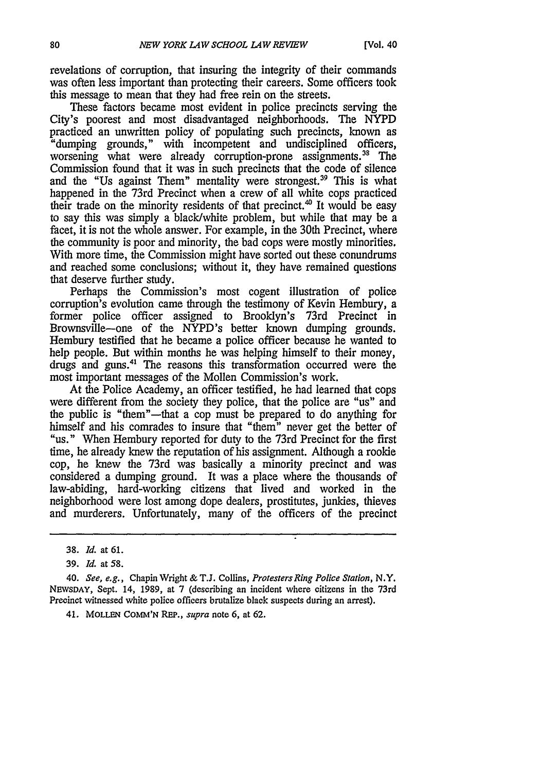revelations of corruption, that insuring the integrity **of** their commands was often less important than protecting their careers. Some officers took this message to mean that they had free rein on the streets.

These factors became most evident in police precincts serving the City's poorest and most disadvantaged neighborhoods. The NYPD practiced an unwritten policy of populating such precincts, known as "dumping grounds," with incompetent and undisciplined officers, worsening what were already corruption-prone assignments.<sup>38</sup> The Commission found that it was in such precincts that the code of silence and the "Us against Them" mentality were strongest.<sup>39</sup> This is what happened in the 73rd Precinct when a crew of all white cops practiced their trade on the minority residents of that precinct.<sup>40</sup> It would be easy to say this was simply a black/white problem, but while that may be a facet, it is not the whole answer. For example, in the 30th Precinct, where the community is poor and minority, the bad cops were mostly minorities. With more time, the Commission might have sorted out these conundrums and reached some conclusions; without it, they have remained questions that deserve further study.

Perhaps the Commission's most cogent illustration of police corruption's evolution came through the testimony of Kevin Hembury, a former police officer assigned to Brooklyn's 73rd Precinct in Brownsville-one of the NYPD's better known dumping grounds. Hembury testified that he became a police officer because he wanted to help people. But within months he was helping himself to their money, drugs and guns.41 The reasons this transformation occurred were the most important messages of the Mollen Commission's work.

At the Police Academy, an officer testified, he had learned that cops were different from the society they police, that the police are "us" and the public is "them"-that a cop must be prepared to do anything for himself and his comrades to insure that "them" never get the better of "us." When Hembury reported for duty to the 73rd Precinct for the first time, he already knew the reputation of his assignment. Although a rookie cop, he knew the 73rd was basically a minority precinct and was considered a dumping ground. It was a place where the thousands of law-abiding, hard-working citizens that lived and worked in the neighborhood were lost among dope dealers, prostitutes, junkies, thieves and murderers. Unfortunately, many of the officers of the precinct

**<sup>38.</sup>** *Id. at* **61.**

**<sup>39.</sup>** *Id. at* **58.**

<sup>40.</sup> *See, e.g.,* Chapin Wright **& T.J.** Collins, *Protesters Ring Police Station,* N.Y. NEWSDAY, Sept. 14, 1989, at 7 (describing an incident where citizens in the 73rd Precinct witnessed white police officers brutalize black suspects during an arrest).

<sup>41.</sup> MOLLEN COMM'N REP., *supra* note 6, at 62.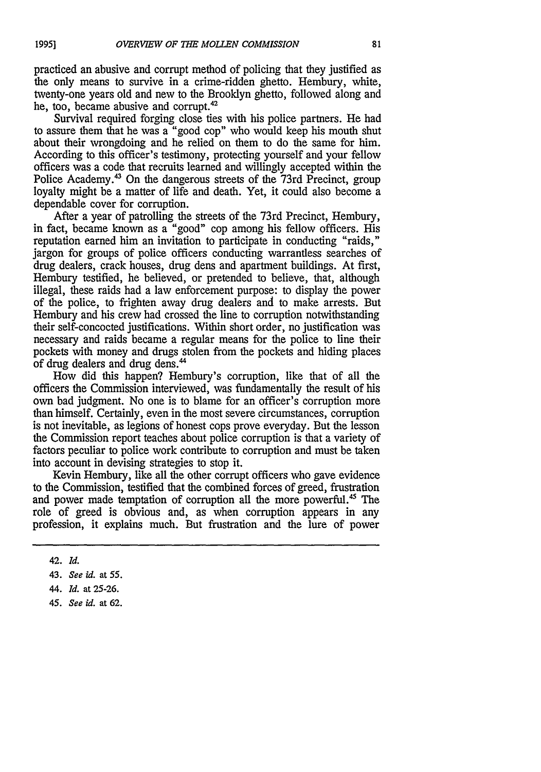practiced an abusive and corrupt method of policing that they justified as the only means to survive in a crime-ridden ghetto. Hembury, white, twenty-one years old and new to the Brooklyn ghetto, followed along and he, too, became abusive and corrupt. $42$ 

Survival required forging close ties with his police partners. He had to assure them that he was a "good cop" who would keep his mouth shut about their wrongdoing and he relied on them to do the same for him. According to this officer's testimony, protecting yourself and your fellow officers was a code that recruits learned and willingly accepted within the Police Academy.43 On the dangerous streets of the 73rd Precinct, group loyalty might be a matter of life and death. Yet, it could also become a dependable cover for corruption.

After a year of patrolling the streets of the 73rd Precinct, Hembury, in fact, became known as a "good" cop among his fellow officers. His reputation earned him an invitation to participate in conducting "raids," jargon for groups of police officers conducting warrantless searches of drug dealers, crack houses, drug dens and apartment buildings. At first, Hembury testified, he believed, or pretended to believe, that, although illegal, these raids had a law enforcement purpose: to display the power of the police, to frighten away drug dealers and to make arrests. But Hembury and his crew had crossed the line to corruption notwithstanding their self-concocted justifications. Within short order, no justification was necessary and raids became a regular means for the police to line their pockets with money and drugs stolen from the pockets and hiding places of drug dealers and drug dens."

How did this happen? Hembury's corruption, like that of all the officers the Commission interviewed, was fundamentally the result of his own bad judgment. No one is to blame for an officer's corruption more than himself. Certainly, even in the most severe circumstances, corruption is not inevitable, as legions of honest cops prove everyday. But the lesson the Commission report teaches about police corruption is that a variety of factors peculiar to police work contribute to corruption and must be taken into account in devising strategies to stop it.

Kevin Hembury, like all the other corrupt officers who gave evidence to the Commission, testified that the combined forces of greed, frustration and power made temptation of corruption all the more powerful.<sup>45</sup> The role of greed is obvious and, as when corruption appears in any profession, it explains much. But frustration and the lure of power

*45. See id.* at **62.**

<sup>42.</sup> *Id.*

<sup>43.</sup> *See id.* at **55.**

<sup>44.</sup> *Id.* at **25-26.**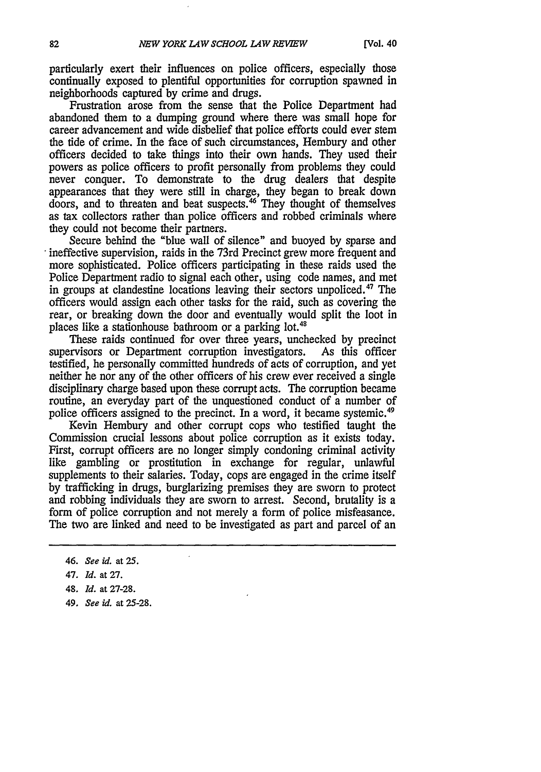particularly exert their influences on police officers, especially those continually exposed to plentiful opportunities for corruption spawned in neighborhoods captured by crime and drugs.

Frustration arose from the sense that the Police Department had abandoned them to a dumping ground where there was small hope for career advancement and wide disbelief that police efforts could ever stem the tide of crime. In the face of such circumstances, Hembury and other officers decided to take things into their own hands. They used their powers as police officers to profit personally from problems they could never conquer. To demonstrate to the drug dealers that despite appearances that they were still in charge, they began to break down doors, and to threaten and beat suspects.<sup>46</sup> They thought of themselves as tax collectors rather than police officers and robbed criminals where they could not become their partners.

Secure behind the "blue wall of silence" and buoyed by sparse and ineffective supervision, raids in the 73rd Precinct grew more frequent and more sophisticated. Police officers participating in these raids used the Police Department radio to signal each other, using code names, and met in groups at clandestine locations leaving their sectors unpoliced.47 The officers would assign each other tasks for the raid, such as covering the rear, or breaking down the door and eventually would split the loot in places like a stationhouse bathroom or a parking lot.<sup>48</sup>

These raids continued for over three years, unchecked by precinct supervisors or Department corruption investigators. As this officer testified, he personally committed hundreds of acts of corruption, and yet neither he nor any of the other officers of his crew ever received a single disciplinary charge based upon these corrupt acts. The corruption became routine, an everyday part of the unquestioned conduct of a number of police officers assigned to the precinct. In a word, it became systemic.<sup>49</sup>

Kevin Hembury and other corrupt cops who testified taught the Commission crucial lessons about police corruption as it exists today. First, corrupt officers are no longer simply condoning criminal activity like gambling or prostitution in exchange for regular, unlawful supplements to their salaries. Today, cops are engaged in the crime itself by trafficking in drugs, burglarizing premises they are sworn to protect and robbing individuals they are sworn to arrest. Second, brutality is a form of police corruption and not merely a form of police misfeasance. The two are linked and need to be investigated as part and parcel of an

*49. See id.* at **25-28.**

*<sup>46.</sup> See id.* at 25.

**<sup>47.</sup>** *Id.* at **27.**

**<sup>48.</sup>** *Id.* at **27-28.**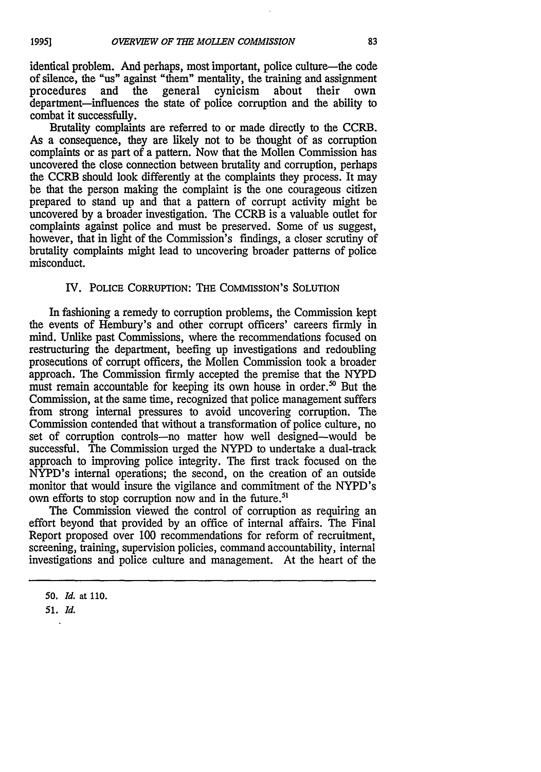identical problem. And perhaps, most important, police culture—the code of silence, the "us" against "them" mentality, the training and assignment procedures and the general cynicism about their own department-influences the state of police corruption and the ability to combat it successfully.

Brutality complaints are referred to or made directly to the CCRB. As a consequence, they are likely not to be thought of as corruption complaints or as part of a pattern. Now that the Mollen Commission has uncovered the close connection between brutality and corruption, perhaps the CCRB should look differently at the complaints they process. It may be that the person making the complaint is the one courageous citizen prepared to stand up and that a pattern of corrupt activity might be uncovered by a broader investigation. The CCRB is a valuable outlet for complaints against police and must be preserved. Some of us suggest, however, that in light of the Commission's findings, a closer scrutiny of brutality complaints might lead to uncovering broader patterns of police misconduct.

### IV. POLICE CORRUPTION: **THE** COMMISSION'S SOLUTION

In fashioning a remedy to corruption problems, the Commission kept the events of Hembury's and other corrupt officers' careers firmly in mind. Unlike past Commissions, where the recommendations focused on restructuring the department, beefing up investigations and redoubling prosecutions of corrupt officers, the Mollen Commission took a broader approach. The Commission firmly accepted the premise that the NYPD must remain accountable for keeping its own house in order.<sup>50</sup> But the Commission, at the same time, recognized that police management suffers from strong internal pressures to avoid uncovering corruption. The Commission contended that without a transformation of police culture, no set of corruption controls-no matter how well designed-would be successful. The Commission urged the NYPD to undertake a dual-track approach to improving police integrity. The first track focused on the NYPD's internal operations; the second, on the creation of an outside monitor that would insure the vigilance and commitment of the NYPD's own efforts to stop corruption now and in the future.<sup>51</sup>

The Commission viewed the control of corruption as requiring an effort beyond that provided by an office of internal affairs. The Final Report proposed over 100 recommendations for reform of recruitment, screening, training, supervision policies, command accountability, internal investigations and police culture and management. At the heart of the

*<sup>50.</sup> Id.* at **110.**

*<sup>51.</sup> Id.*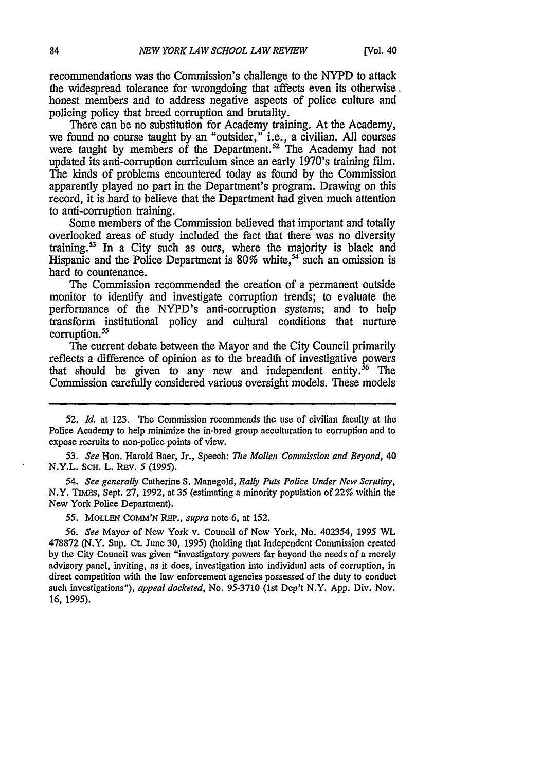recommendations was the Commission's challenge to the NYPD to attack the widespread tolerance for wrongdoing that affects even its otherwise. honest members and to address negative aspects of police culture and policing policy that breed corruption and brutality.

There can be no substitution for Academy training. At the Academy, we found no course taught **by** an "outsider," i.e., a civilian. **All** courses were taught by members of the Department.<sup>52</sup> The Academy had not updated its anti-corruption curriculum since an early 1970's training film. The kinds of problems encountered today as found **by** the Commission apparently played no part in the Department's program. Drawing on this record, it is hard to believe that the Department had given much attention to anti-corruption training.

Some members of the Commission believed that important and totally overlooked areas of study included the fact that there was no diversity training.<sup>33</sup> In a City such as ours, where the majority is black and Hispanic and the Police Department is 80% white,<sup>54</sup> such an omission is hard to countenance.

The Commission recommended the creation of a permanent outside monitor to identify and investigate corruption trends; to evaluate the performance of the NYPD's anti-corruption systems; and to **help** transform institutional policy and cultural conditions that nurture corruption.<sup>55</sup>

The current debate between the Mayor and the City Council primarily reflects a difference of opinion as to the breadth of investigative powers that should be given to any new and independent entity.<sup>36</sup> The Commission carefully considered various oversight models. These models

*53. See* Hon. Harold Baer, Jr., Speech: *The Mollen Commission and Beyond,* 40 N.Y.L. SCH. L. REV. 5 (1995).

*54. See generally* Catherine **S.** Manegold, *Rally Puts Police Under New Scrutiny,* N.Y. **TIMES,** Sept. **27, 1992,** at **35** (estimating a minority population of **22%** within the New York Police Department).

**55. MOLLEN COMM'N** REP., supra note **6,** at **152.**

*56. See* Mayor of New York v. Council of New York, No. 402354, **1995 WL 478872** (N.Y. Sup. Ct. June **30, 1995)** (holding that Independent Commission created **by** the City Council was given "investigatory powers far beyond the needs of a merely advisory panel, inviting, as it does, investigation into individual acts of corruption, in direct competition with the law enforcement agencies possessed of the duty to conduct such investigations"), *appeal docketed,* No. **95-3710** (1st Dep't N.Y. **App.** Div. Nov. **16, 1995).**

**<sup>52.</sup>** *Id.* at **123.** The Commission recommends the use of civilian faculty at the Police Academy to help minimize the in-bred group acculturation to corruption and to expose recruits to non-police points of view.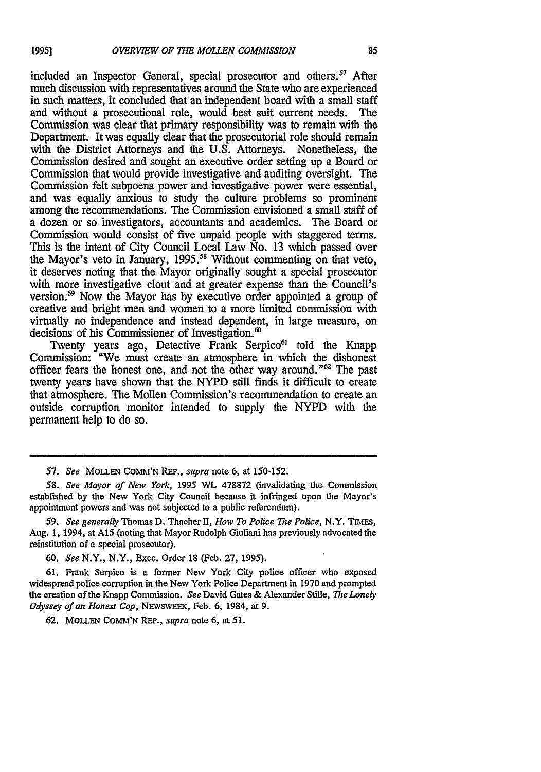included an Inspector General, special prosecutor and others.<sup>57</sup> After much discussion with representatives around the State who are experienced in such matters, it concluded that an independent board with a small staff and without a prosecutional role, would best suit current needs. The Commission was clear that primary responsibility was to remain with the Department. It was equally clear that the prosecutorial role should remain with the District Attorneys and the U.S. Attorneys. Nonetheless, the Commission desired and sought an executive order setting up a Board or Commission that would provide investigative and auditing oversight. The Commission felt subpoena power and investigative power were essential, and was equally anxious to study the culture problems so prominent among the recommendations. The Commission envisioned a small staff of a dozen or so investigators, accountants and academics. The Board or Commission would consist of five unpaid people with staggered terms. This is the intent of City Council Local Law No. 13 which passed over the Mayor's veto in January, 1995.<sup>58</sup> Without commenting on that veto, it deserves noting that the Mayor originally sought a special prosecutor with more investigative clout and at greater expense than the Council's version.59 Now the Mayor has by executive order appointed a group of creative and bright men and women to a more limited commission with virtually no independence and instead dependent, in large measure, on decisions of his Commissioner of Investigation.'

Twenty years ago, Detective Frank Serpico<sup>61</sup> told the Knapp Commission: "We must create an atmosphere in which the dishonest officer fears the honest one, and not the other way around."62 The past twenty years have shown that the NYPD still finds it difficult to create that atmosphere. The Mollen Commission's recommendation to create an outside corruption monitor intended to supply the NYPD with the permanent help to do so.

59. *See generally* Thomas D. Thacher II, *How To Police The Police*, N.Y. TIMES, Aug. 1, 1994, at **A15** (noting that Mayor Rudolph Giuliani has previously advocated the reinstitution of a special prosecutor).

60. *See* N.Y., N.Y., Exec. Order 18 (Feb. 27, 1995).

61. Frank Serpico is a former New York City police officer who exposed widespread police corruption in the New York Police Department in 1970 and prompted the creation of the Knapp Commission. *See* David Gates & Alexander Stille, *The Lonely* Odyssey of an Honest Cop, NEWSWEEK, Feb. 6, 1984, at 9.

62. MOLLEN COMM'N REP., *supra* note 6, at 51.

*<sup>57.</sup> See* MOLLEN COMM'N REP., *supra* note 6, at 150-152.

*<sup>58.</sup> See Mayor of New York,* 1995 WL 478872 (invalidating the Commission established by the New York City Council because it infringed upon the Mayor's appointment powers and was not subjected to a public referendum).